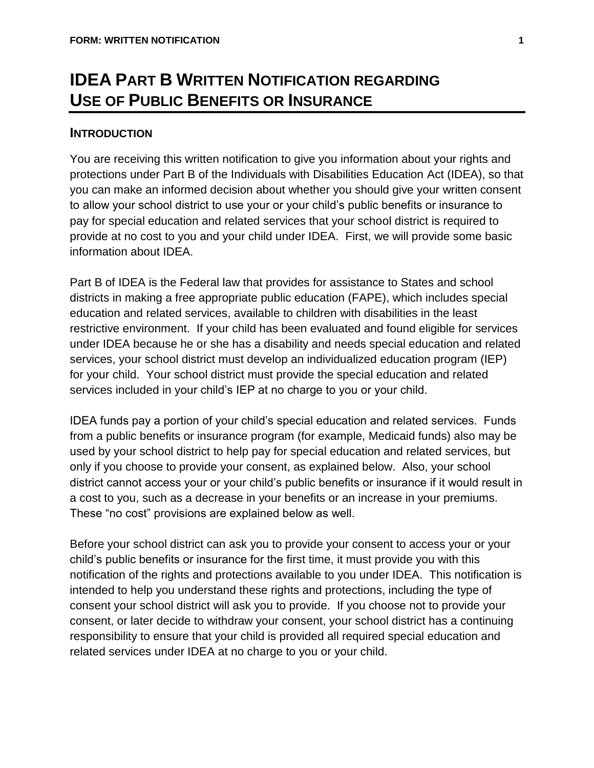# **IDEA PART B WRITTEN NOTIFICATION REGARDING USE OF PUBLIC BENEFITS OR INSURANCE**

### **INTRODUCTION**

You are receiving this written notification to give you information about your rights and protections under Part B of the Individuals with Disabilities Education Act (IDEA), so that you can make an informed decision about whether you should give your written consent to allow your school district to use your or your child's public benefits or insurance to pay for special education and related services that your school district is required to provide at no cost to you and your child under IDEA. First, we will provide some basic information about IDEA.

Part B of IDEA is the Federal law that provides for assistance to States and school districts in making a free appropriate public education (FAPE), which includes special education and related services, available to children with disabilities in the least restrictive environment. If your child has been evaluated and found eligible for services under IDEA because he or she has a disability and needs special education and related services, your school district must develop an individualized education program (IEP) for your child. Your school district must provide the special education and related services included in your child's IEP at no charge to you or your child.

IDEA funds pay a portion of your child's special education and related services. Funds from a public benefits or insurance program (for example, Medicaid funds) also may be used by your school district to help pay for special education and related services, but only if you choose to provide your consent, as explained below. Also, your school district cannot access your or your child's public benefits or insurance if it would result in a cost to you, such as a decrease in your benefits or an increase in your premiums. These "no cost" provisions are explained below as well.

Before your school district can ask you to provide your consent to access your or your child's public benefits or insurance for the first time, it must provide you with this notification of the rights and protections available to you under IDEA. This notification is intended to help you understand these rights and protections, including the type of consent your school district will ask you to provide. If you choose not to provide your consent, or later decide to withdraw your consent, your school district has a continuing responsibility to ensure that your child is provided all required special education and related services under IDEA at no charge to you or your child.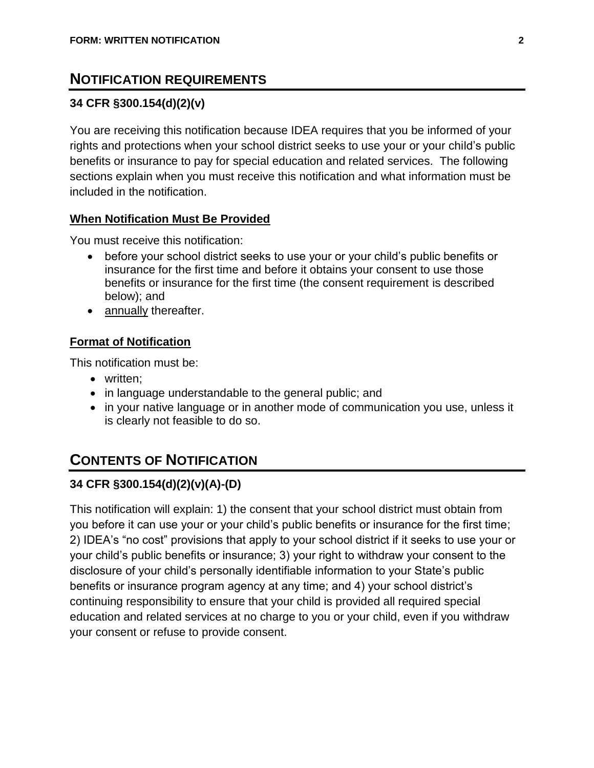# **NOTIFICATION REQUIREMENTS**

### **34 CFR §300.154(d)(2)(v)**

You are receiving this notification because IDEA requires that you be informed of your rights and protections when your school district seeks to use your or your child's public benefits or insurance to pay for special education and related services. The following sections explain when you must receive this notification and what information must be included in the notification.

#### **When Notification Must Be Provided**

You must receive this notification:

- before your school district seeks to use your or your child's public benefits or insurance for the first time and before it obtains your consent to use those benefits or insurance for the first time (the consent requirement is described below); and
- annually thereafter.

#### **Format of Notification**

This notification must be:

- written;
- in language understandable to the general public; and
- in your native language or in another mode of communication you use, unless it is clearly not feasible to do so.

# **CONTENTS OF NOTIFICATION**

### **34 CFR §300.154(d)(2)(v)(A)-(D)**

This notification will explain: 1) the consent that your school district must obtain from you before it can use your or your child's public benefits or insurance for the first time; 2) IDEA's "no cost" provisions that apply to your school district if it seeks to use your or your child's public benefits or insurance; 3) your right to withdraw your consent to the disclosure of your child's personally identifiable information to your State's public benefits or insurance program agency at any time; and 4) your school district's continuing responsibility to ensure that your child is provided all required special education and related services at no charge to you or your child, even if you withdraw your consent or refuse to provide consent.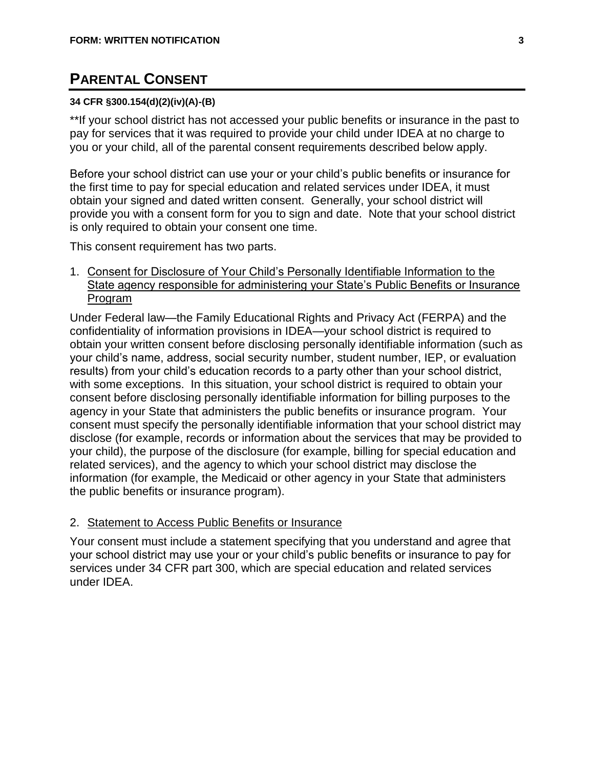# **PARENTAL CONSENT**

#### **34 CFR §300.154(d)(2)(iv)(A)-(B)**

\*\*If your school district has not accessed your public benefits or insurance in the past to pay for services that it was required to provide your child under IDEA at no charge to you or your child, all of the parental consent requirements described below apply.

Before your school district can use your or your child's public benefits or insurance for the first time to pay for special education and related services under IDEA, it must obtain your signed and dated written consent. Generally, your school district will provide you with a consent form for you to sign and date. Note that your school district is only required to obtain your consent one time.

This consent requirement has two parts.

1. Consent for Disclosure of Your Child's Personally Identifiable Information to the State agency responsible for administering your State's Public Benefits or Insurance Program

Under Federal law—the Family Educational Rights and Privacy Act (FERPA) and the confidentiality of information provisions in IDEA—your school district is required to obtain your written consent before disclosing personally identifiable information (such as your child's name, address, social security number, student number, IEP, or evaluation results) from your child's education records to a party other than your school district, with some exceptions. In this situation, your school district is required to obtain your consent before disclosing personally identifiable information for billing purposes to the agency in your State that administers the public benefits or insurance program. Your consent must specify the personally identifiable information that your school district may disclose (for example, records or information about the services that may be provided to your child), the purpose of the disclosure (for example, billing for special education and related services), and the agency to which your school district may disclose the information (for example, the Medicaid or other agency in your State that administers the public benefits or insurance program).

#### 2. Statement to Access Public Benefits or Insurance

Your consent must include a statement specifying that you understand and agree that your school district may use your or your child's public benefits or insurance to pay for services under 34 CFR part 300, which are special education and related services under IDEA.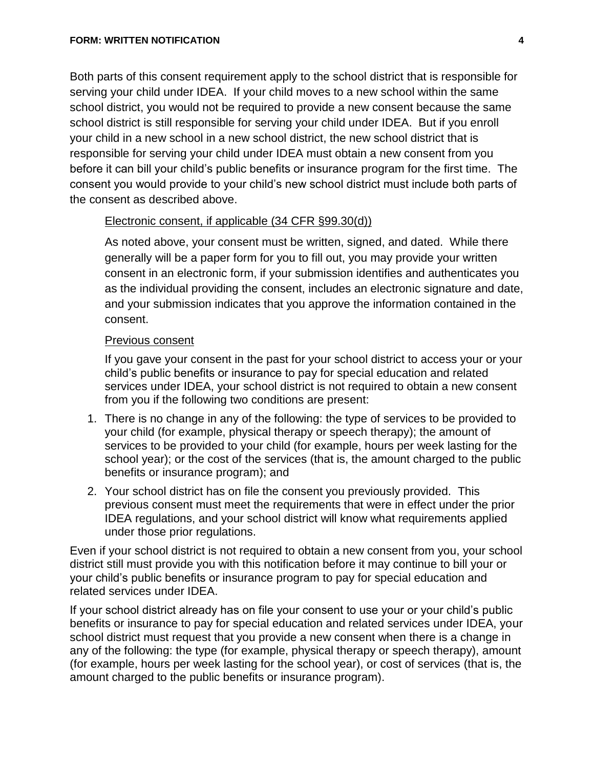Both parts of this consent requirement apply to the school district that is responsible for serving your child under IDEA. If your child moves to a new school within the same school district, you would not be required to provide a new consent because the same school district is still responsible for serving your child under IDEA. But if you enroll your child in a new school in a new school district, the new school district that is responsible for serving your child under IDEA must obtain a new consent from you before it can bill your child's public benefits or insurance program for the first time. The consent you would provide to your child's new school district must include both parts of the consent as described above.

#### Electronic consent, if applicable (34 CFR §99.30(d))

As noted above, your consent must be written, signed, and dated. While there generally will be a paper form for you to fill out, you may provide your written consent in an electronic form, if your submission identifies and authenticates you as the individual providing the consent, includes an electronic signature and date, and your submission indicates that you approve the information contained in the consent.

#### Previous consent

If you gave your consent in the past for your school district to access your or your child's public benefits or insurance to pay for special education and related services under IDEA, your school district is not required to obtain a new consent from you if the following two conditions are present:

- 1. There is no change in any of the following: the type of services to be provided to your child (for example, physical therapy or speech therapy); the amount of services to be provided to your child (for example, hours per week lasting for the school year); or the cost of the services (that is, the amount charged to the public benefits or insurance program); and
- 2. Your school district has on file the consent you previously provided. This previous consent must meet the requirements that were in effect under the prior IDEA regulations, and your school district will know what requirements applied under those prior regulations.

Even if your school district is not required to obtain a new consent from you, your school district still must provide you with this notification before it may continue to bill your or your child's public benefits or insurance program to pay for special education and related services under IDEA.

If your school district already has on file your consent to use your or your child's public benefits or insurance to pay for special education and related services under IDEA, your school district must request that you provide a new consent when there is a change in any of the following: the type (for example, physical therapy or speech therapy), amount (for example, hours per week lasting for the school year), or cost of services (that is, the amount charged to the public benefits or insurance program).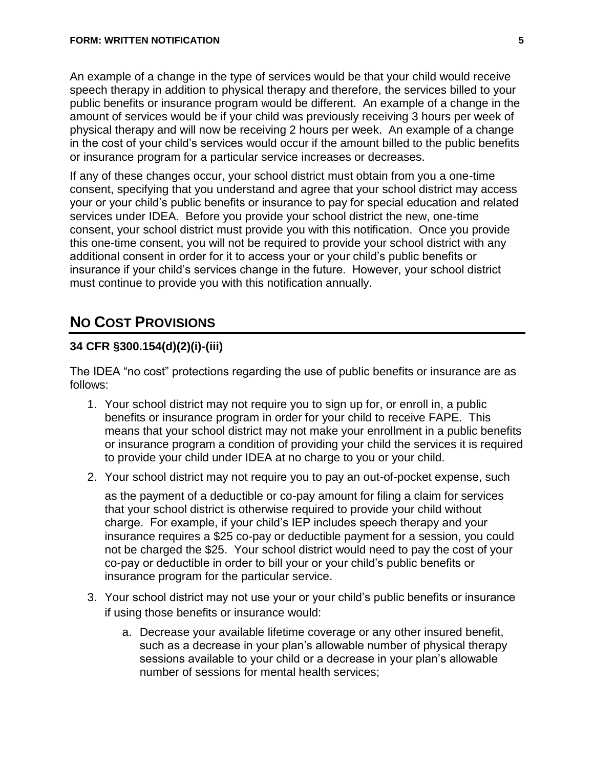An example of a change in the type of services would be that your child would receive speech therapy in addition to physical therapy and therefore, the services billed to your public benefits or insurance program would be different. An example of a change in the amount of services would be if your child was previously receiving 3 hours per week of physical therapy and will now be receiving 2 hours per week. An example of a change in the cost of your child's services would occur if the amount billed to the public benefits or insurance program for a particular service increases or decreases.

If any of these changes occur, your school district must obtain from you a one-time consent, specifying that you understand and agree that your school district may access your or your child's public benefits or insurance to pay for special education and related services under IDEA. Before you provide your school district the new, one-time consent, your school district must provide you with this notification. Once you provide this one-time consent, you will not be required to provide your school district with any additional consent in order for it to access your or your child's public benefits or insurance if your child's services change in the future. However, your school district must continue to provide you with this notification annually.

# **NO COST PROVISIONS**

### **34 CFR §300.154(d)(2)(i)-(iii)**

The IDEA "no cost" protections regarding the use of public benefits or insurance are as follows:

- 1. Your school district may not require you to sign up for, or enroll in, a public benefits or insurance program in order for your child to receive FAPE. This means that your school district may not make your enrollment in a public benefits or insurance program a condition of providing your child the services it is required to provide your child under IDEA at no charge to you or your child.
- 2. Your school district may not require you to pay an out-of-pocket expense, such

as the payment of a deductible or co-pay amount for filing a claim for services that your school district is otherwise required to provide your child without charge. For example, if your child's IEP includes speech therapy and your insurance requires a \$25 co-pay or deductible payment for a session, you could not be charged the \$25. Your school district would need to pay the cost of your co-pay or deductible in order to bill your or your child's public benefits or insurance program for the particular service.

- 3. Your school district may not use your or your child's public benefits or insurance if using those benefits or insurance would:
	- a. Decrease your available lifetime coverage or any other insured benefit, such as a decrease in your plan's allowable number of physical therapy sessions available to your child or a decrease in your plan's allowable number of sessions for mental health services;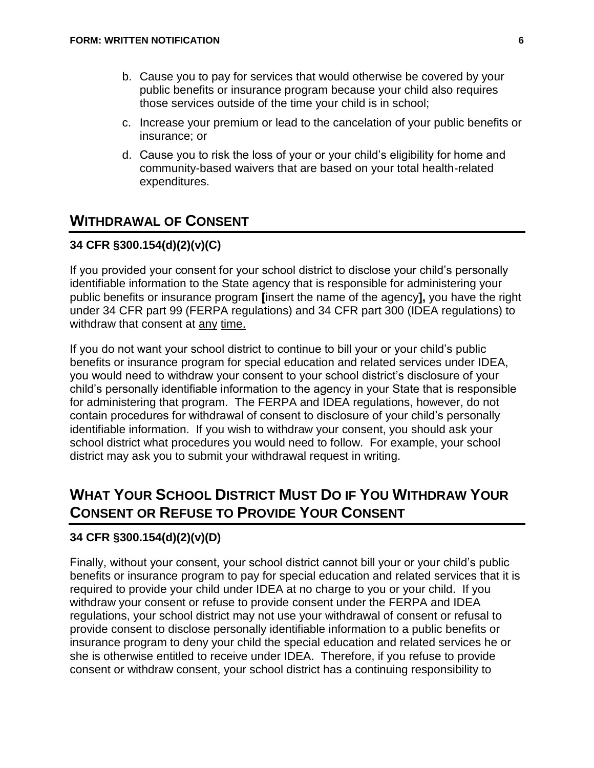- b. Cause you to pay for services that would otherwise be covered by your public benefits or insurance program because your child also requires those services outside of the time your child is in school;
- c. Increase your premium or lead to the cancelation of your public benefits or insurance; or
- d. Cause you to risk the loss of your or your child's eligibility for home and community-based waivers that are based on your total health-related expenditures.

# **WITHDRAWAL OF CONSENT**

### **34 CFR §300.154(d)(2)(v)(C)**

If you provided your consent for your school district to disclose your child's personally identifiable information to the State agency that is responsible for administering your public benefits or insurance program **[**insert the name of the agency**],** you have the right under 34 CFR part 99 (FERPA regulations) and 34 CFR part 300 (IDEA regulations) to withdraw that consent at any time.

If you do not want your school district to continue to bill your or your child's public benefits or insurance program for special education and related services under IDEA, you would need to withdraw your consent to your school district's disclosure of your child's personally identifiable information to the agency in your State that is responsible for administering that program. The FERPA and IDEA regulations, however, do not contain procedures for withdrawal of consent to disclosure of your child's personally identifiable information. If you wish to withdraw your consent, you should ask your school district what procedures you would need to follow. For example, your school district may ask you to submit your withdrawal request in writing.

# **WHAT YOUR SCHOOL DISTRICT MUST DO IF YOU WITHDRAW YOUR CONSENT OR REFUSE TO PROVIDE YOUR CONSENT**

#### **34 CFR §300.154(d)(2)(v)(D)**

Finally, without your consent, your school district cannot bill your or your child's public benefits or insurance program to pay for special education and related services that it is required to provide your child under IDEA at no charge to you or your child. If you withdraw your consent or refuse to provide consent under the FERPA and IDEA regulations, your school district may not use your withdrawal of consent or refusal to provide consent to disclose personally identifiable information to a public benefits or insurance program to deny your child the special education and related services he or she is otherwise entitled to receive under IDEA. Therefore, if you refuse to provide consent or withdraw consent, your school district has a continuing responsibility to